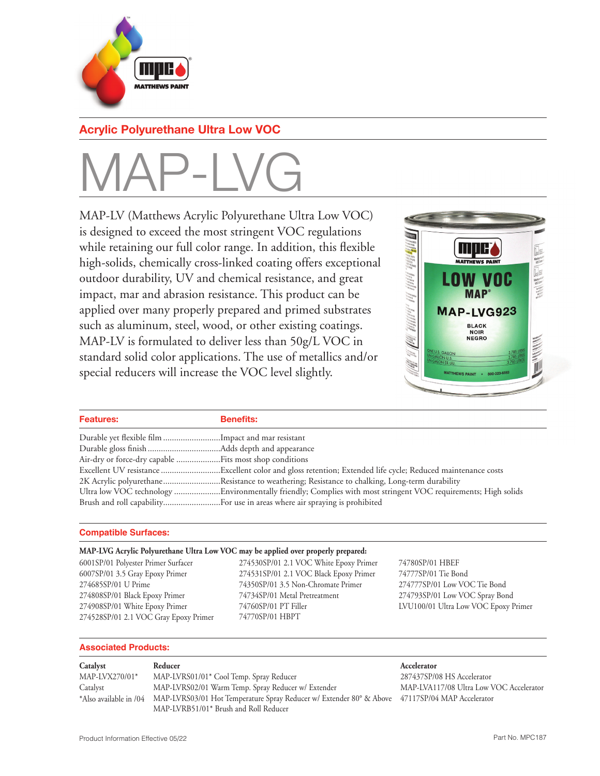

## **Acrylic Polyurethane Ultra Low VOC**

# MAP-LVG

MAP-LV (Matthews Acrylic Polyurethane Ultra Low VOC) is designed to exceed the most stringent VOC regulations while retaining our full color range. In addition, this flexible high-solids, chemically cross-linked coating offers exceptional outdoor durability, UV and chemical resistance, and great impact, mar and abrasion resistance. This product can be applied over many properly prepared and primed substrates such as aluminum, steel, wood, or other existing coatings. MAP-LV is formulated to deliver less than 50g/L VOC in standard solid color applications. The use of metallics and/or special reducers will increase the VOC level slightly.



| <b>Features:</b>                                   | <b>Benefits:</b>                                                                              |
|----------------------------------------------------|-----------------------------------------------------------------------------------------------|
| Durable yet flexible film Impact and mar resistant |                                                                                               |
|                                                    |                                                                                               |
|                                                    |                                                                                               |
|                                                    |                                                                                               |
|                                                    | 2K Acrylic polyurethaneResistance to weathering; Resistance to chalking, Long-term durability |
|                                                    |                                                                                               |
|                                                    |                                                                                               |

### **Compatible Surfaces:**

### **MAP-LVG Acrylic Polyurethane Ultra Low VOC may be applied over properly prepared:**

6001SP/01 Polyester Primer Surfacer 6007SP/01 3.5 Gray Epoxy Primer 274685SP/01 U Prime 274808SP/01 Black Epoxy Primer 274908SP/01 White Epoxy Primer 274528SP/01 2.1 VOC Gray Epoxy Primer 274530SP/01 2.1 VOC White Epoxy Primer 274531SP/01 2.1 VOC Black Epoxy Primer 74350SP/01 3.5 Non-Chromate Primer 74734SP/01 Metal Pretreatment 74760SP/01 PT Filler 74770SP/01 HBPT

74780SP/01 HBEF 74777SP/01 Tie Bond 274777SP/01 Low VOC Tie Bond 274793SP/01 Low VOC Spray Bond LVU100/01 Ultra Low VOC Epoxy Primer

### **Associated Products:**

| Catalyst         | Reducer                                                                                                               | Accelerator                             |
|------------------|-----------------------------------------------------------------------------------------------------------------------|-----------------------------------------|
| $MAP-LVX270/01*$ | MAP-LVRS01/01* Cool Temp. Spray Reducer                                                                               | 287437SP/08 HS Accelerator              |
| Catalyst         | MAP-LVRS02/01 Warm Temp. Spray Reducer w/ Extender                                                                    | MAP-LVA117/08 Ultra Low VOC Accelerator |
|                  | *Also available in /04 MAP-LVRS03/01 Hot Temperature Spray Reducer w/ Extender 80° & Above 47117SP/04 MAP Accelerator |                                         |
|                  | MAP-LVRB51/01* Brush and Roll Reducer                                                                                 |                                         |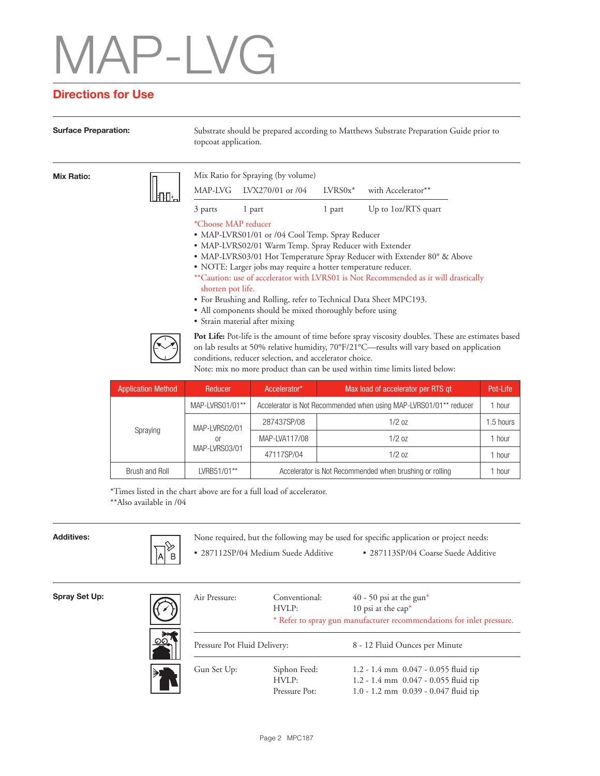## P-I VG

## **Directions for Use**

**Surface Preparation:** Substrate should be prepared according to Matthews Substrate Preparation Guide prior to topcoat application.

| <b>Mix Ratio:</b> |                                                                                                                                                                                                                                                                            | Mix Ratio for Spraying (by volume)<br>MAP-LVG LVX270/01 or /04                                                                                                                                                                                                                                                                                | $LVRS0x^*$ | with Accelerator**                                                                                                                                             |
|-------------------|----------------------------------------------------------------------------------------------------------------------------------------------------------------------------------------------------------------------------------------------------------------------------|-----------------------------------------------------------------------------------------------------------------------------------------------------------------------------------------------------------------------------------------------------------------------------------------------------------------------------------------------|------------|----------------------------------------------------------------------------------------------------------------------------------------------------------------|
|                   | 3 parts                                                                                                                                                                                                                                                                    | 1 part                                                                                                                                                                                                                                                                                                                                        | 1 part     | Up to 1oz/RTS quart                                                                                                                                            |
|                   | *Choose MAP reducer<br>shorten pot life.                                                                                                                                                                                                                                   | • MAP-LVRS01/01 or /04 Cool Temp. Spray Reducer<br>• MAP-LVRS02/01 Warm Temp. Spray Reducer with Extender<br>· NOTE: Larger jobs may require a hotter temperature reducer.<br>• For Brushing and Rolling, refer to Technical Data Sheet MPC193.<br>• All components should be mixed thoroughly before using<br>• Strain material after mixing |            | • MAP-LVRS03/01 Hot Temperature Spray Reducer with Extender 80° & Above<br>**Caution: use of accelerator with LVRS01 is Not Recommended as it will drastically |
|                   | Pot Life: Pot-life is the amount of time before spray viscosity doubles. These are estimates based<br>on lab results at 50% relative humidity, $70^{\circ}F/21^{\circ}C$ —results will vary based on application<br>conditions, reducer selection, and accelerator choice. |                                                                                                                                                                                                                                                                                                                                               |            |                                                                                                                                                                |

Note: mix no more product than can be used within time limits listed below:

| <b>Application Method</b> | Reducer                              | Accelerator*                                            | Max load of accelerator per RTS gt                                            | Pot-Life  |  |
|---------------------------|--------------------------------------|---------------------------------------------------------|-------------------------------------------------------------------------------|-----------|--|
|                           | MAP-LVRS01/01**                      |                                                         | Accelerator is Not Recommended when using MAP-LVRS01/01 <sup>**</sup> reducer |           |  |
|                           | MAP-LVRS02/01<br>or<br>MAP-LVRS03/01 | 287437SP/08                                             | $1/2$ oz                                                                      | 1.5 hours |  |
| Spraying                  |                                      | MAP-LVA117/08                                           | 1/20z                                                                         | 1 hour    |  |
|                           |                                      | 47117SP/04                                              | 1/20z                                                                         | 1 hour    |  |
| Brush and Roll            | LVRB51/01**                          | Accelerator is Not Recommended when brushing or rolling |                                                                               |           |  |

\*Times listed in the chart above are for a full load of accelerator. \*\*Also available in /04



**Additives:** None required, but the following may be used for specific application or project needs:

- 
- 287112SP/04 Medium Suede Additive 287113SP/04 Coarse Suede Additive

| Spray Set Up: |  |  |
|---------------|--|--|
|---------------|--|--|

| Air Pressure:                | Conventional:<br>HVLP:                 | 40 - 50 psi at the gun*<br>10 psi at the $cap^*$<br>* Refer to spray gun manufacturer recommendations for inlet pressure. |  |
|------------------------------|----------------------------------------|---------------------------------------------------------------------------------------------------------------------------|--|
| Pressure Pot Fluid Delivery: |                                        | 8 - 12 Fluid Ounces per Minute                                                                                            |  |
| Gun Set Up:                  | Siphon Feed:<br>HVI.P<br>Pressure Pot: | 1.2 - 1.4 mm $0.047 - 0.055$ fluid tip<br>1.2 - 1.4 mm 0.047 - 0.055 fluid tip<br>1.0 - 1.2 mm 0.039 - 0.047 fluid tip    |  |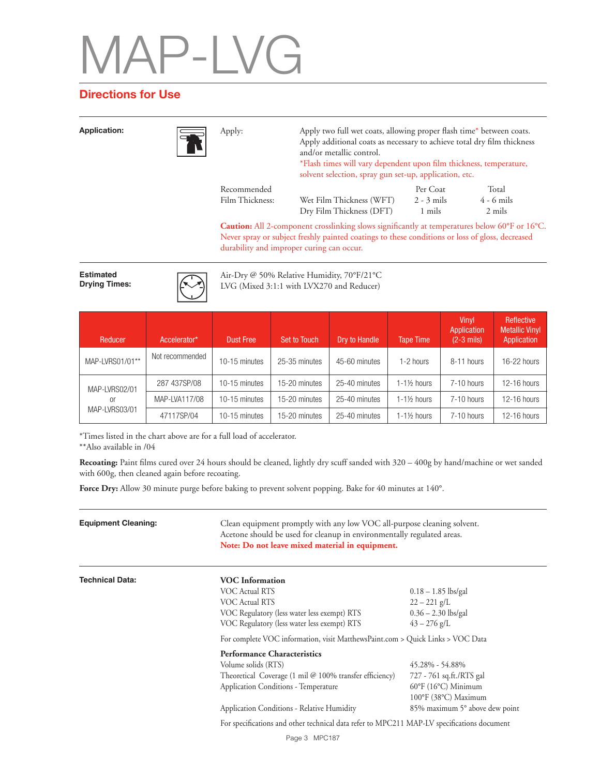# $P$ -LVG

## **Directions for Use**

**Application:** Apply: Apply two full wet coats, allowing proper flash time\* between coats. Apply additional coats as necessary to achieve total dry film thickness and/or metallic control. \*Flash times will vary dependent upon film thickness, temperature, solvent selection, spray gun set-up, application, etc. Apply: **Caution:** All 2-component crosslinking slows significantly at temperatures below 60°F or 16°C. Wet Film Thickness (WFT) Dry Film Thickness (DFT) Recommended Film Thickness: Per Coat 2 - 3 mils 1 mils Total 4 - 6 mils 2 mils

Never spray or subject freshly painted coatings to these conditions or loss of gloss, decreased durability and improper curing can occur.

**Estimated Drying Times:**



Air-Dry @ 50% Relative Humidity, 70°F/21°C LVG (Mixed 3:1:1 with LVX270 and Reducer)

| Reducer             | Accelerator*    | <b>Dust Free</b> | <b>Set to Touch</b> | Dry to Handle | Tape Time              | <b>Vinvl</b><br>Application<br>$(2-3$ mils) | <b>Reflective</b><br><b>Metallic Vinyl</b><br>Application |
|---------------------|-----------------|------------------|---------------------|---------------|------------------------|---------------------------------------------|-----------------------------------------------------------|
| MAP-LVRS01/01**     | Not recommended | 10-15 minutes    | 25-35 minutes       | 45-60 minutes | 1-2 hours              | 8-11 hours                                  | 16-22 hours                                               |
| MAP-LVRS02/01       | 287 437SP/08    | 10-15 minutes    | 15-20 minutes       | 25-40 minutes | $1-1\frac{1}{2}$ hours | 7-10 hours                                  | 12-16 hours                                               |
| or<br>MAP-LVRS03/01 | MAP-LVA117/08   | 10-15 minutes    | 15-20 minutes       | 25-40 minutes | $1-1\%$ hours          | 7-10 hours                                  | 12-16 hours                                               |
|                     | 47117SP/04      | 10-15 minutes    | 15-20 minutes       | 25-40 minutes | $1-1\frac{1}{2}$ hours | 7-10 hours                                  | 12-16 hours                                               |

\*Times listed in the chart above are for a full load of accelerator.

\*\*Also available in /04

**Recoating:** Paint films cured over 24 hours should be cleaned, lightly dry scuff sanded with 320 – 400g by hand/machine or wet sanded with 600g, then cleaned again before recoating.

**Force Dry:** Allow 30 minute purge before baking to prevent solvent popping. Bake for 40 minutes at 140°.

| <b>Equipment Cleaning:</b> | Note: Do not leave mixed material in equipment.                                                                                                                                  | Clean equipment promptly with any low VOC all-purpose cleaning solvent.<br>Acetone should be used for cleanup in environmentally regulated areas. |  |  |  |
|----------------------------|----------------------------------------------------------------------------------------------------------------------------------------------------------------------------------|---------------------------------------------------------------------------------------------------------------------------------------------------|--|--|--|
| <b>Technical Data:</b>     | <b>VOC</b> Information<br>VOC Actual RTS<br><b>VOC Actual RTS</b><br>VOC Regulatory (less water less exempt) RTS<br>VOC Regulatory (less water less exempt) RTS                  | $0.18 - 1.85$ lbs/gal<br>$22 - 221$ g/L<br>$0.36 - 2.30$ lbs/gal<br>$43 - 276$ g/L                                                                |  |  |  |
|                            | For complete VOC information, visit MatthewsPaint.com > Quick Links > VOC Data                                                                                                   |                                                                                                                                                   |  |  |  |
|                            | <b>Performance Characteristics</b><br>Volume solids (RTS)<br>Theoretical Coverage $(1 \text{ mil} \& 100\% \text{ transfer efficiency})$<br>Application Conditions - Temperature | 45.28% - 54.88%<br>727 - 761 sq.ft./RTS gal<br>$60^{\circ}$ F (16 $^{\circ}$ C) Minimum<br>100°F (38°C) Maximum                                   |  |  |  |
|                            | Application Conditions - Relative Humidity                                                                                                                                       | 85% maximum 5° above dew point                                                                                                                    |  |  |  |
|                            | For specifications and other technical data refer to MPC211 MAP-LV specifications document                                                                                       |                                                                                                                                                   |  |  |  |
|                            | Page 3 MPC187                                                                                                                                                                    |                                                                                                                                                   |  |  |  |